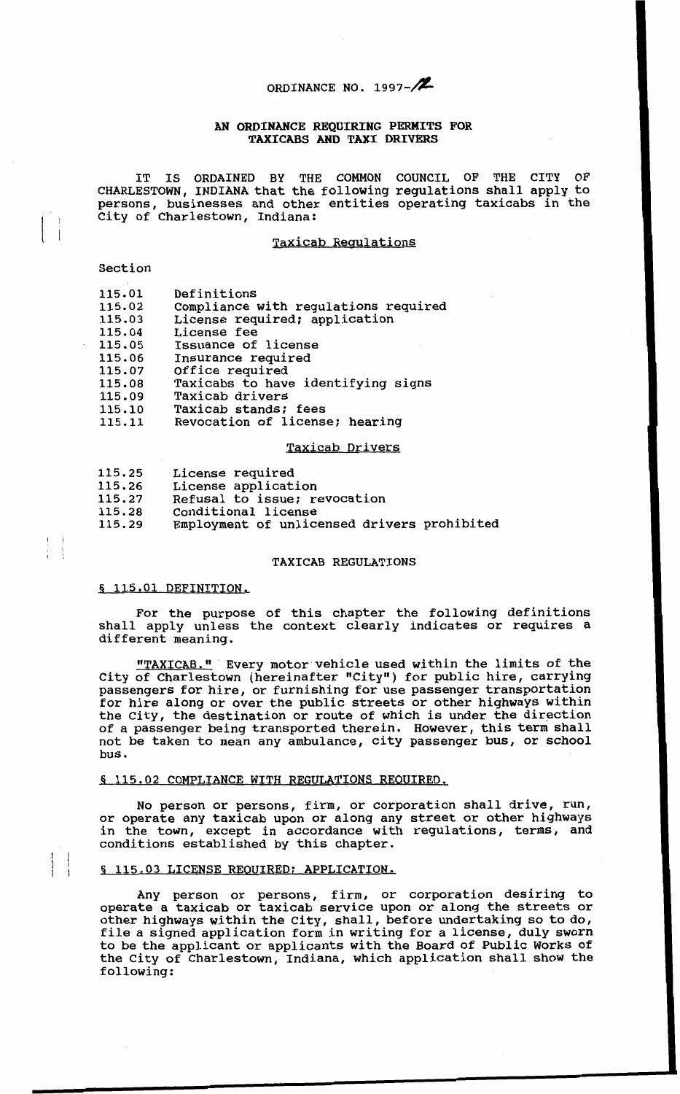# ORDINANCE NO. 1997- $/2$

# AN ORDINANCE REQUIRING PERMITS FOR TAXICABS **AND** TAXI DRIVERS

IT IS ORDAINED BY THE COMMON COUNCIL OF THE CITY OF CHARLESTOWN, INDIANA that the following regulations shall apply to persons, businesses and other entities operating taxicabs in the City of Charlestown, Indiana:

# Taxicab Requlations

Section

115.01 Definitions<br>115.02 Compliance

- 115.02 Compliance with regulations required<br>115.03 License required; application
- 115.03 License required; application<br>115.04 License fee
- 115.04 License fee<br>115.05 Issuance of
- 115.05 Issuance of license<br>115.06 Insurance required
- 115.06 Insurance required<br>115.07 Office required

Office required

- 115.08<br>115.09 Taxicabs to have identifying signs
- 115.09 Taxicab drivers<br>115.10 Taxicab stands;
- 
- 115.10 Taxicab stands; fees<br>115.11 Revocation of licens Revocation of license; hearing

#### Taxicab Drivers

| 115.25 | License required                            |
|--------|---------------------------------------------|
| 115.26 | License application                         |
| 115.27 | Refusal to issue; revocation                |
| 115.28 | Conditional license                         |
| 115.29 | Employment of unlicensed drivers prohibited |
|        |                                             |

#### TAXICAB REGULATIONS

# § 115.01 DEFINITION.

 $\blacksquare$ 

For the purpose of this chapter the following definitions shall apply unless the context clearly indicates or requires a different meaning.

"TAXICAB." Every motor vehicle used within the limits of the City of Charlestown (hereinafter "City") for public hire, carrying passengers for hire, or furnishing for use passenger transportation for hire along or over the public streets or other highways within the City, the destination or route of which is under the direction of a passenger being transported therein. However, this term shall not be taken to mean any ambulance, city passenger bus, or school bus.

# **§ 115.02 COMPLIANCE WITH REGULATIONS REQUIRED.**

No person or persons, firm, or corporation shall drive, run, or operate any taxicab upon or along any street or other highways in the town, except in accordance with regulations, terms, and conditions established by this chapter.

# § 115.03 LICENSE REQUIRED; APPLICATION.

Any person or persons, firm, or corporation desiring to operate a taxicab or taxicab service upon or along the streets or other highways within the City, shall, before undertaking so to do, file a signed application form in writing for a license, duly sworn to be the applicant or applicants with the Board of Public Works of the City of Charlestown, Indiana, which application shall show the following: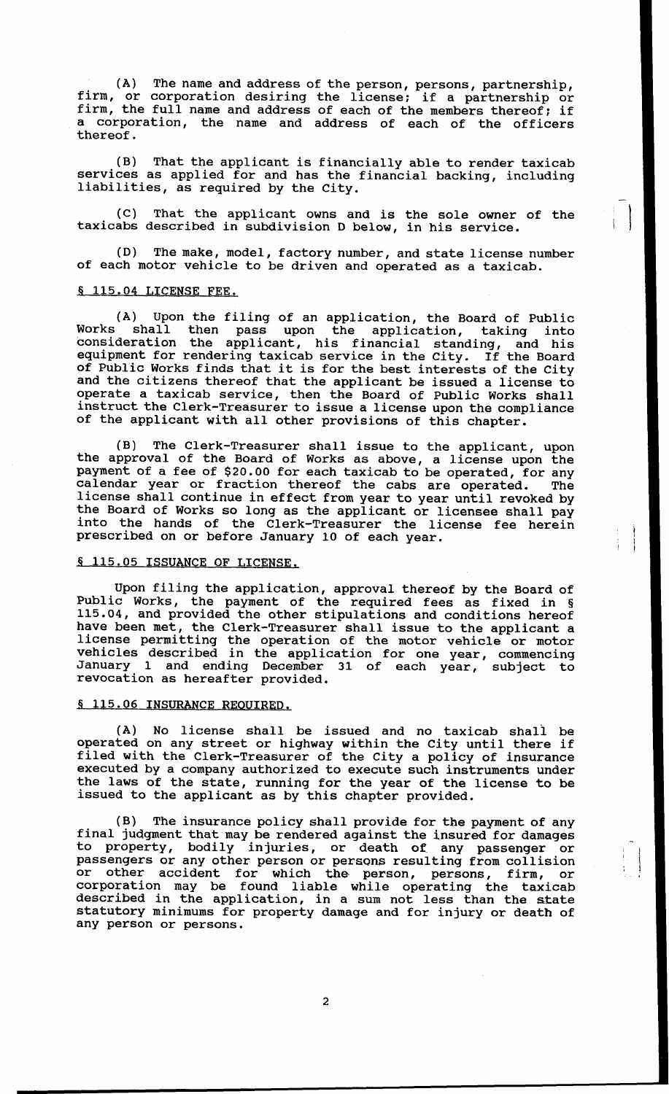**(A)** The name and address of the person, persons, partnership, firm, or corporation desiring the license: if a partnership or firm, the full name and address of each of the members thereof: if a corporation, the name and address of each of the officers thereof.

(B) That the applicant is financially able to render taxicab services as applied for and has the financial backing, including liabilities, as required by the City.

(C) That the applicant owns and is the sole owner of the taxicabs described in subdivision D below, in his service.

(D) The make, model, factory number, and state license number of each motor vehicle to be driven and operated as a taxicab.

#### **115.04** LICENSE **FEE.**

(A) Upon the filing of an application, the Board of Public Works shall then pass upon the application, taking into consideration the applicant, his financial standing, and his equipment for rendering taxicab service in the City. If the Board of Public Works finds that it is for the best interests of the City and the citizens thereof that the applicant be issued a license to operate a taxicab service, then the Board of Public Works shall instruct the Clerk-Treasurer to issue a license upon the compliance of the applicant with all other provisions of this chapter.

(B) The Clerk-Treasurer shall issue to the applicant, upon the approval of the Board of Works as above, a license upon the payment of a fee of \$20.00 for each taxicab to be operated, for any calendar year or fraction thereof the cabs are operated. The calendar year or fraction thereof the cabs are operated. The license shall continue in effect from year to year until revoked by the Board of Works so long as the applicant or licensee shall pay into the hands of the Clerk-Treasurer the license fee herein prescribed on or before January *20* of each year.

# .B **115.05** ISSUANCE **OF** LICENSE.

Upon filing the application, approval thereof by the Board of Public Works, the payment of the required fees as fixed in § **115.04,** and provided the other stipulations and conditions hereof have been met, the Clerk-Treasurer shall issue to the applicant a license permitting the operation of the motor vehicle or motor vehicles described in the application for one year, commencing January **1** and ending December **31** of each year, subject to revocation as hereafter provided.

# § **115.06** INSURANCE REQUIRED.

(A) No license shall be issued and no taxicab shall be operated on any street or highway within the City until there if filed with the Clerk-Treasurer of the City a policy of insurance executed by a company authorized to execute such instruments under the laws of the state, running for the year of the license to be issued to the applicant as by this chapter provided.

The insurance policy shall provide for the payment of any final judgment that may be rendered against the insured for damages to property, bodily injuries, or death of any passenger or passengers or any other person or persons resulting from collision or other accident for which **the** person, persons, firm, or corporation may be found liable while operating the taxicab described in the application, in a sum not less than the state statutory minimums for property damage and for injury or death of any person or persons. **(B)**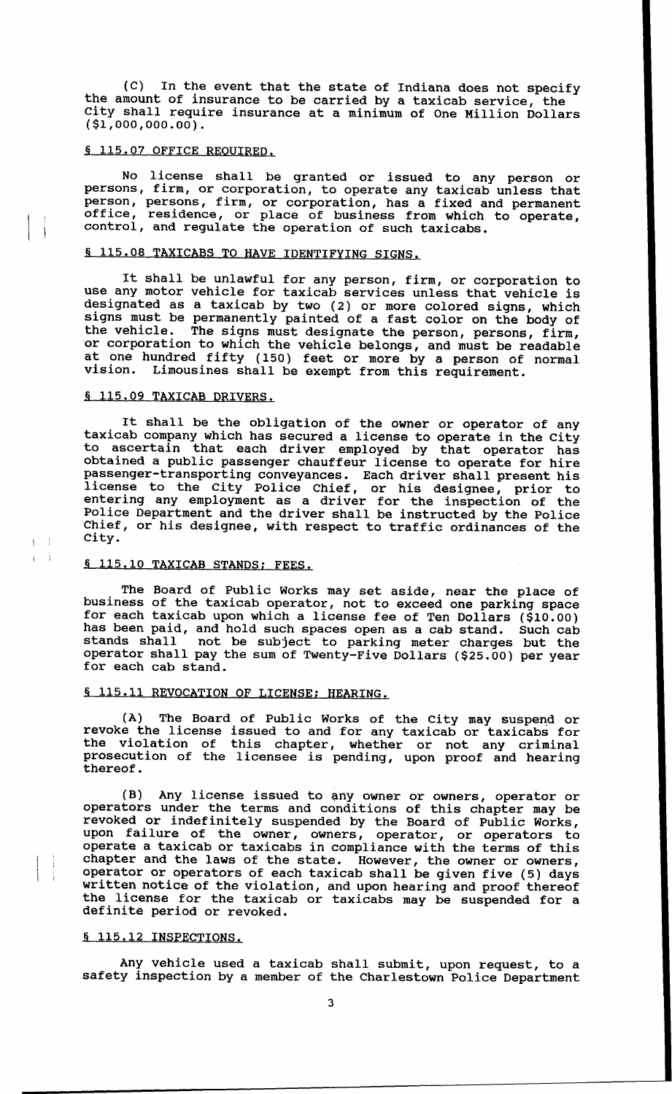(C) In the event that the state of Indiana does not specify the amount of insurance to be carried by a taxicab service, the City shall require insurance at a minimum of One Million Dollars **(\$1,000,000.00).** 

# *8* **115.07** OFFICE REOUIRED.

 $\vert \ \ \vert$ 

 $\mathbf{r} = \mathbf{r}$ 

No license shall be granted or issued to any person or persons, firm, or corporation, to operate any taxicab unless that person, persons, firm, or corporation, has a fixed and permanent office, residence, or place of business from which to operate, control, and regulate the operation of such taxicabs.

# **J 115.08** TAXICABS TO HAVE IDENTIFYING SIGNS.

It shall be unlawful for any person, firm, or corporation to use any motor vehicle for taxicab services unless that vehicle is designated as a taxicab by two **(2)** or more colored signs, which signs must be permanently painted of a fast color on the body of the vehicle. The signs must designate the person, persons, firm, or corporation to which the vehicle belongs, and must be readable at one hundred fifty (150) feet or more by **a** person of normal vision. Limousines shall be exempt from this requirement.

#### **§ 115.09 TAXICAB DRIVERS.**

It shall be the obligation of the owner or operator of any taxicab company which has secured a license to operate in the City to ascertain that each driver employed by that operator has obtained a public passenger chauffeur license to operate for hire passenger-transporting conveyances. Each driver shall present his license to the City Police Chief, or his designee, prior to entering any employment as a driver for the inspection of the Police Department and the driver shall be instructed by the Police Chief, or his designee, with respect to traffic ordinances of the  $\overline{\phantom{a}}$  city.

# $$115.10$  TAXICAB STANDS; FEES.

The Board of Public Works may set aside, near the place of business of the taxicab operator, not to exceed one parking space for each taxicab upon which a license fee of Ten Dollars **(\$10.00)**  has been paid, and hold such spaces open as a cab stand. Such cab stands shall not be subject to parking meter charges but the operator shall pay the sum of Twenty-Five Dollars **(\$25.00)** per year for each cab stand.

#### **\$ 115.11 REVOCATION OF LICENSE; HEARING.**

(A) The Board of Public Works of the City **may** suspend or revoke the license issued to and for any taxicab or taxicabs for the violation of this chapter, whether or not any criminal prosecution of the licensee is pending, upon proof and hearing thereof.

(B) Any license issued to any owner or owners, operator or operators under the terms and conditions of this chapter may be revoked or indefinitely suspended by the Board of Public Works, upon failure of the owner, owners, operator, or operators to operate a taxicab or taxicabs in compliance with the terms of this chapter and the laws of the state. However, the owner or owners, operator or operators of each taxicab shall be given five **(5)** days written notice of the violation, and upon hearing and proof thereof the license for the taxicab or taxicabs may be suspended for a definite period or revoked.

#### *3* **115.12** INSPECTIONS.

Any vehicle used a taxicab shall submit, upon request, to a safety inspection by a member of the Charlestown Police Department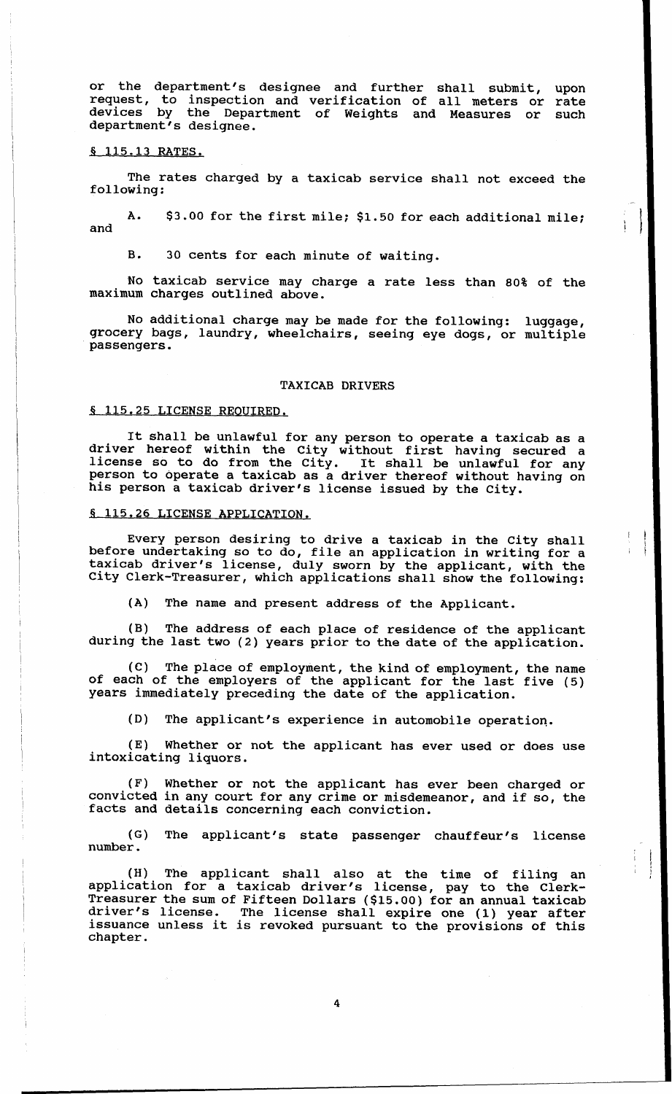or the department's designee and further shall submit, upon request, to inspection and verification of all meters or rate department's designee. devices by the Department of Weights and Measures or such

#### **3 115.13** RATES. <sup>I</sup>

I

I

I

I

I

I

I

I

The rates charged by a taxicab service shall not exceed the following:

A. \$3.00 for the first mile; **\$1.50** for each additional mile; and I

30 cents for each minute of waiting. B.

No taxicab service may charge a rate less than 80% of the maximum charges outlined above.

No additional charge may be made for the following: luggage, grocery bags, laundry, wheelchairs, seeing eye dogs, or multiple passengers.

# TAXICAB DRIVERS

# **115.25** LICENSE REOUIRED.

It shall be unlawful for any person to operate a taxicab as a driver hereof within the City without first having secured a license so to do from the City. It shall be unlawful for any person to operate a taxicab as a driver thereof without having on his person a taxicab driver's license issued by the City.

#### **115.26** LICENSE APPLICATION,

Every person desiring to drive a taxicab in the City shall before undertaking so to do, file an application in writing for a taxicab driver's license, duly sworn by the applicant, with the City Clerk-Treasurer, which applications shall show the following:

The name and present address of the Applicant. (A)

The address of each place of residence of the applicant during the last two (2) years prior to the date of the application. (B)

The place of employment, the kind of employment, the name of each of the employers of the applicant for the last five (5) years immediately preceding the date of the application. *(e)* 

(D) The applicant's experience in automobile operation.

intoxicating liquors. (E) Whether or not the applicant has ever used or does use

(F) Whether or not the applicant has ever been charged or convicted in any court for any crime or misdemeanor, and if so, the facts and details concerning each conviction.

(G) The applicant's state passenger chauffeur's license number.

(H) The applicant shall also at the time of filing an application for **a** taxicab driver's license, pay to the Clerk-Treasurer the sum of Fifteen Dollars (\$15.00) for an annual taxicab driver's license. The license shall expire one **(1)** year after issuance unless it is revoked pursuant to the provisions of this chapter.